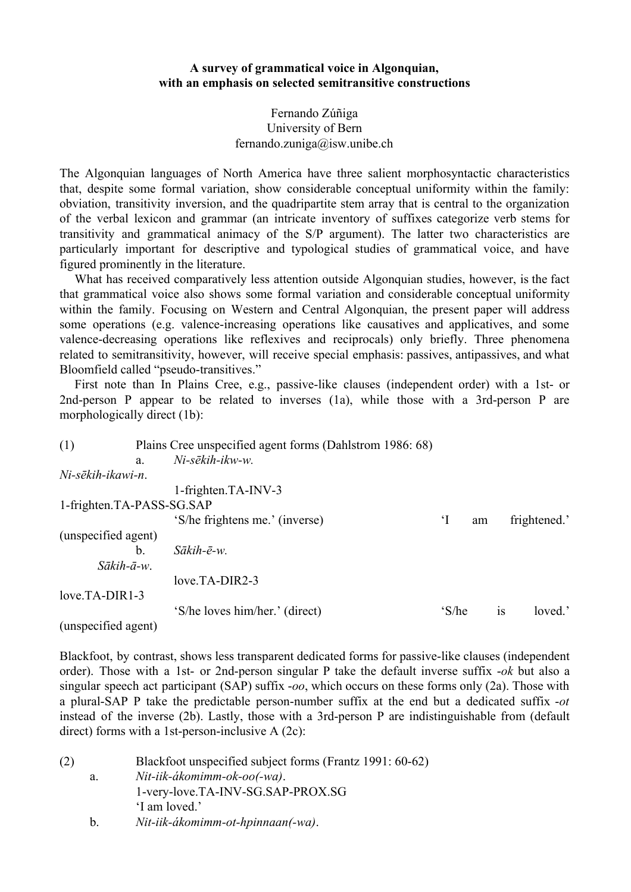## **A survey of grammatical voice in Algonquian, with an emphasis on selected semitransitive constructions**

## Fernando Zúñiga University of Bern fernando.zuniga@isw.unibe.ch

The Algonquian languages of North America have three salient morphosyntactic characteristics that, despite some formal variation, show considerable conceptual uniformity within the family: obviation, transitivity inversion, and the quadripartite stem array that is central to the organization of the verbal lexicon and grammar (an intricate inventory of suffixes categorize verb stems for transitivity and grammatical animacy of the S/P argument). The latter two characteristics are particularly important for descriptive and typological studies of grammatical voice, and have figured prominently in the literature.

What has received comparatively less attention outside Algonquian studies, however, is the fact that grammatical voice also shows some formal variation and considerable conceptual uniformity within the family. Focusing on Western and Central Algonquian, the present paper will address some operations (e.g. valence-increasing operations like causatives and applicatives, and some valence-decreasing operations like reflexives and reciprocals) only briefly. Three phenomena related to semitransitivity, however, will receive special emphasis: passives, antipassives, and what Bloomfield called "pseudo-transitives."

First note than In Plains Cree, e.g., passive-like clauses (independent order) with a 1st- or 2nd-person P appear to be related to inverses  $(1a)$ , while those with a 3rd-person P are morphologically direct (1b):

| (1)                       |               | Plains Cree unspecified agent forms (Dahlstrom 1986: 68) |                           |    |           |              |
|---------------------------|---------------|----------------------------------------------------------|---------------------------|----|-----------|--------------|
|                           | a.            | Ni-sēkih-ikw-w.                                          |                           |    |           |              |
| Ni-sēkih-ikawi-n.         |               |                                                          |                           |    |           |              |
|                           |               | 1-frighten.TA-INV-3                                      |                           |    |           |              |
| 1-frighten.TA-PASS-SG.SAP |               |                                                          |                           |    |           |              |
|                           |               | 'S/he frightens me.' (inverse)                           | $\mathbf{I}^{\mathsf{c}}$ | am |           | frightened.' |
| (unspecified agent)       |               |                                                          |                           |    |           |              |
|                           | $\mathbf b$ . | Sākih-ē-w.                                               |                           |    |           |              |
| $S\bar{a}kih-\bar{a}-w$ . |               |                                                          |                           |    |           |              |
|                           |               | $love.TA-DIR2-3$                                         |                           |    |           |              |
| $love.TA-DIR1-3$          |               |                                                          |                           |    |           |              |
|                           |               | 'S/he loves him/her.' (direct)                           | $^{\circ}$ S/he           |    | <b>1S</b> | loved.'      |
| (unspecified agent)       |               |                                                          |                           |    |           |              |

Blackfoot, by contrast, shows less transparent dedicated forms for passive-like clauses (independent order). Those with a 1st- or 2nd-person singular P take the default inverse suffix *-ok* but also a singular speech act participant (SAP) suffix *oo*, which occurs on these forms only (2a). Those with a plural-SAP P take the predictable person-number suffix at the end but a dedicated suffix *-ot* instead of the inverse  $(2b)$ . Lastly, those with a 3rd-person P are indistinguishable from (default direct) forms with a 1st-person-inclusive  $A$  (2c):

| (2) |    | Blackfoot unspecified subject forms (Frantz 1991: 60-62) |
|-----|----|----------------------------------------------------------|
|     | a. | $Nit$ -iik-ákomimm-ok-oo $(-wa)$ .                       |
|     |    | 1-very-love.TA-INV-SG.SAP-PROX.SG                        |
|     |    | 'I am loved.'                                            |
|     | h. | Nit-iik-ákomimm-ot-hpinnaan(-wa).                        |